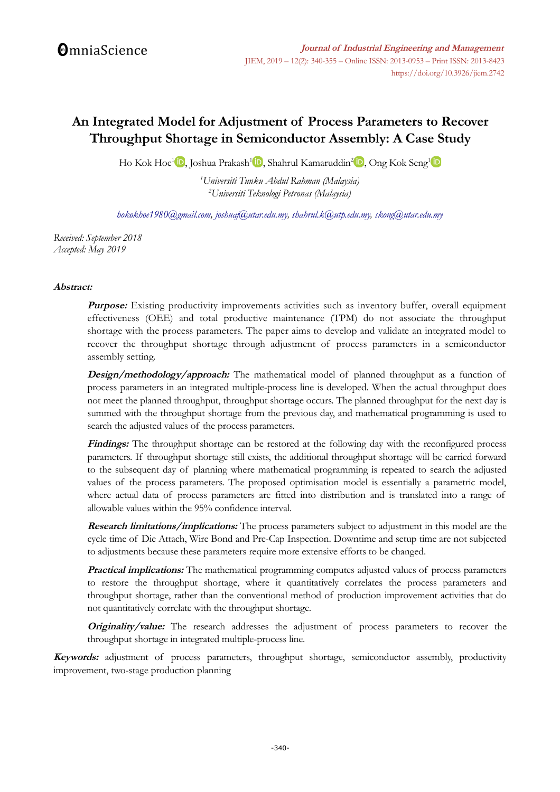# **An Integrated Model for Adjustment of Process Parameters to Recover Throughput Shortage in Semiconductor Assembly: A Case Study**

Ho Kok Hoe<sup>1</sup> D[,](https://orcid.org/0000-0002-2832-5849) Joshua Prakash<sup>[1](https://orcid.org/0000-0002-4413-2852)</sup> D, Shahrul Kamaruddin<sup>2</sup> D, Ong Kok Seng<sup>1</sup>

*<sup>1</sup>Universiti Tunku Abdul Rahman (Malaysia) <sup>2</sup>Universiti Teknologi Petronas (Malaysia)*

*[hokokhoe1980@gmail.com,](mailto:hokokhoe1980@gmail.com) [joshuaj@utar.edu.my,](mailto:joshuaj@utar.edu.my) [shahrul.k@utp.edu.my,](mailto:shahrul.k@utp.edu.my) [skong@utar.edu.my](mailto:skong@utar.edu.my)*

*Received: September 2018 Accepted: May 2019*

### **Abstract:**

**Purpose:** Existing productivity improvements activities such as inventory buffer, overall equipment effectiveness (OEE) and total productive maintenance (TPM) do not associate the throughput shortage with the process parameters. The paper aims to develop and validate an integrated model to recover the throughput shortage through adjustment of process parameters in a semiconductor assembly setting.

**Design/methodology/approach:** The mathematical model of planned throughput as a function of process parameters in an integrated multiple-process line is developed. When the actual throughput does not meet the planned throughput, throughput shortage occurs. The planned throughput for the next day is summed with the throughput shortage from the previous day, and mathematical programming is used to search the adjusted values of the process parameters.

**Findings:** The throughput shortage can be restored at the following day with the reconfigured process parameters. If throughput shortage still exists, the additional throughput shortage will be carried forward to the subsequent day of planning where mathematical programming is repeated to search the adjusted values of the process parameters. The proposed optimisation model is essentially a parametric model, where actual data of process parameters are fitted into distribution and is translated into a range of allowable values within the 95% confidence interval.

**Research limitations/implications:** The process parameters subject to adjustment in this model are the cycle time of Die Attach, Wire Bond and Pre-Cap Inspection. Downtime and setup time are not subjected to adjustments because these parameters require more extensive efforts to be changed.

**Practical implications:** The mathematical programming computes adjusted values of process parameters to restore the throughput shortage, where it quantitatively correlates the process parameters and throughput shortage, rather than the conventional method of production improvement activities that do not quantitatively correlate with the throughput shortage.

**Originality/value:** The research addresses the adjustment of process parameters to recover the throughput shortage in integrated multiple-process line.

**Keywords:** adjustment of process parameters, throughput shortage, semiconductor assembly, productivity improvement, two-stage production planning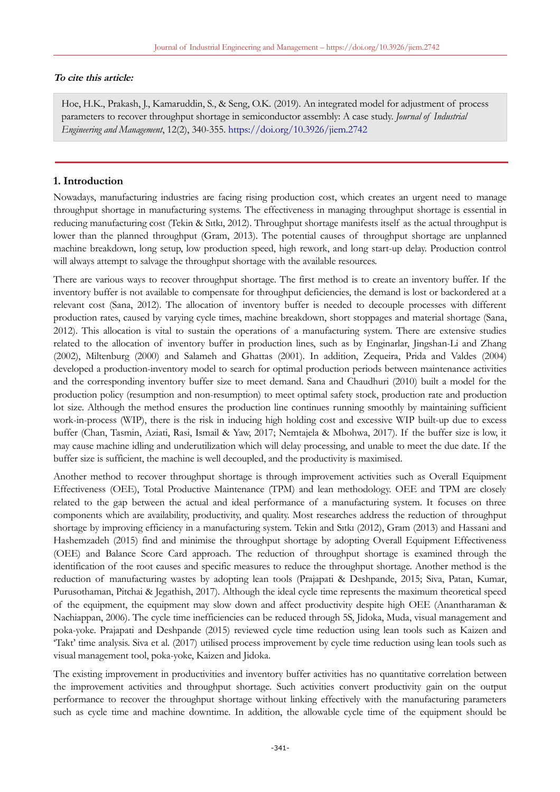### **To cite this article:**

Hoe, H.K., Prakash, J., Kamaruddin, S., & Seng, O.K. (2019). An integrated model for adjustment of process parameters to recover throughput shortage in semiconductor assembly: A case study. *Journal of Industrial Engineering and Management*, 12(2), 340-355.<https://doi.org/10.3926/jiem.2742>

# **1. Introduction**

Nowadays, manufacturing industries are facing rising production cost, which creates an urgent need to manage throughput shortage in manufacturing systems. The effectiveness in managing throughput shortage is essential in reducing manufacturing cost (Tekin & Sıtkı, 2012). Throughput shortage manifests itself as the actual throughput is lower than the planned throughput (Gram, 2013). The potential causes of throughput shortage are unplanned machine breakdown, long setup, low production speed, high rework, and long start-up delay. Production control will always attempt to salvage the throughput shortage with the available resources.

There are various ways to recover throughput shortage. The first method is to create an inventory buffer. If the inventory buffer is not available to compensate for throughput deficiencies, the demand is lost or backordered at a relevant cost (Sana, 2012). The allocation of inventory buffer is needed to decouple processes with different production rates, caused by varying cycle times, machine breakdown, short stoppages and material shortage (Sana, 2012). This allocation is vital to sustain the operations of a manufacturing system. There are extensive studies related to the allocation of inventory buffer in production lines, such as by Enginarlar, Jingshan-Li and Zhang (2002), Miltenburg (2000) and Salameh and Ghattas (2001). In addition, Zequeira, Prida and Valdes (2004) developed a production-inventory model to search for optimal production periods between maintenance activities and the corresponding inventory buffer size to meet demand. Sana and Chaudhuri (2010) built a model for the production policy (resumption and non-resumption) to meet optimal safety stock, production rate and production lot size. Although the method ensures the production line continues running smoothly by maintaining sufficient work-in-process (WIP), there is the risk in inducing high holding cost and excessive WIP built-up due to excess buffer (Chan, Tasmin, Aziati, Rasi, Ismail & Yaw, 2017; Nemtajela & Mbohwa, 2017). If the buffer size is low, it may cause machine idling and underutilization which will delay processing, and unable to meet the due date. If the buffer size is sufficient, the machine is well decoupled, and the productivity is maximised.

Another method to recover throughput shortage is through improvement activities such as Overall Equipment Effectiveness (OEE), Total Productive Maintenance (TPM) and lean methodology. OEE and TPM are closely related to the gap between the actual and ideal performance of a manufacturing system. It focuses on three components which are availability, productivity, and quality. Most researches address the reduction of throughput shortage by improving efficiency in a manufacturing system. Tekin and Sıtkı (2012), Gram (2013) and Hassani and Hashemzadeh (2015) find and minimise the throughput shortage by adopting Overall Equipment Effectiveness (OEE) and Balance Score Card approach. The reduction of throughput shortage is examined through the identification of the root causes and specific measures to reduce the throughput shortage. Another method is the reduction of manufacturing wastes by adopting lean tools (Prajapati & Deshpande, 2015; Siva, Patan, Kumar, Purusothaman, Pitchai & Jegathish, 2017). Although the ideal cycle time represents the maximum theoretical speed of the equipment, the equipment may slow down and affect productivity despite high OEE (Anantharaman & Nachiappan, 2006). The cycle time inefficiencies can be reduced through 5S, Jidoka, Muda, visual management and poka-yoke. Prajapati and Deshpande (2015) reviewed cycle time reduction using lean tools such as Kaizen and 'Takt' time analysis. Siva et al. (2017) utilised process improvement by cycle time reduction using lean tools such as visual management tool, poka-yoke, Kaizen and Jidoka.

The existing improvement in productivities and inventory buffer activities has no quantitative correlation between the improvement activities and throughput shortage. Such activities convert productivity gain on the output performance to recover the throughput shortage without linking effectively with the manufacturing parameters such as cycle time and machine downtime. In addition, the allowable cycle time of the equipment should be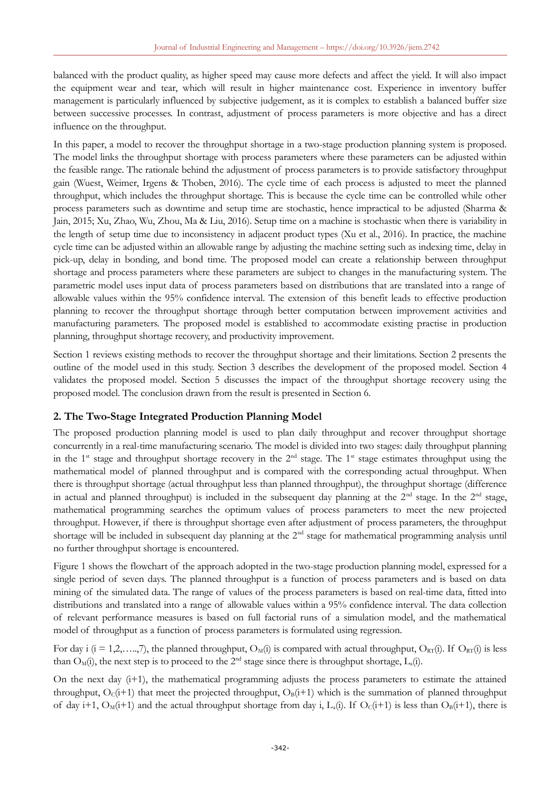balanced with the product quality, as higher speed may cause more defects and affect the yield. It will also impact the equipment wear and tear, which will result in higher maintenance cost. Experience in inventory buffer management is particularly influenced by subjective judgement, as it is complex to establish a balanced buffer size between successive processes. In contrast, adjustment of process parameters is more objective and has a direct influence on the throughput.

In this paper, a model to recover the throughput shortage in a two-stage production planning system is proposed. The model links the throughput shortage with process parameters where these parameters can be adjusted within the feasible range. The rationale behind the adjustment of process parameters is to provide satisfactory throughput gain (Wuest, Weimer, Irgens & Thoben, 2016). The cycle time of each process is adjusted to meet the planned throughput, which includes the throughput shortage. This is because the cycle time can be controlled while other process parameters such as downtime and setup time are stochastic, hence impractical to be adjusted (Sharma & Jain, 2015; Xu, Zhao, Wu, Zhou, Ma & Liu, 2016). Setup time on a machine is stochastic when there is variability in the length of setup time due to inconsistency in adjacent product types (Xu et al., 2016). In practice, the machine cycle time can be adjusted within an allowable range by adjusting the machine setting such as indexing time, delay in pick-up, delay in bonding, and bond time. The proposed model can create a relationship between throughput shortage and process parameters where these parameters are subject to changes in the manufacturing system. The parametric model uses input data of process parameters based on distributions that are translated into a range of allowable values within the 95% confidence interval. The extension of this benefit leads to effective production planning to recover the throughput shortage through better computation between improvement activities and manufacturing parameters. The proposed model is established to accommodate existing practise in production planning, throughput shortage recovery, and productivity improvement.

Section 1 reviews existing methods to recover the throughput shortage and their limitations. Section 2 presents the outline of the model used in this study. Section 3 describes the development of the proposed model. Section 4 validates the proposed model. Section 5 discusses the impact of the throughput shortage recovery using the proposed model. The conclusion drawn from the result is presented in Section 6.

# **2. The Two-Stage Integrated Production Planning Model**

The proposed production planning model is used to plan daily throughput and recover throughput shortage concurrently in a real-time manufacturing scenario. The model is divided into two stages: daily throughput planning in the 1<sup>st</sup> stage and throughput shortage recovery in the  $2<sup>nd</sup>$  stage. The 1<sup>st</sup> stage estimates throughput using the mathematical model of planned throughput and is compared with the corresponding actual throughput. When there is throughput shortage (actual throughput less than planned throughput), the throughput shortage (difference in actual and planned throughput) is included in the subsequent day planning at the  $2<sup>nd</sup>$  stage. In the  $2<sup>nd</sup>$  stage, mathematical programming searches the optimum values of process parameters to meet the new projected throughput. However, if there is throughput shortage even after adjustment of process parameters, the throughput shortage will be included in subsequent day planning at the 2<sup>nd</sup> stage for mathematical programming analysis until no further throughput shortage is encountered.

Figure 1 shows the flowchart of the approach adopted in the two-stage production planning model, expressed for a single period of seven days. The planned throughput is a function of process parameters and is based on data mining of the simulated data. The range of values of the process parameters is based on real-time data, fitted into distributions and translated into a range of allowable values within a 95% confidence interval. The data collection of relevant performance measures is based on full factorial runs of a simulation model, and the mathematical model of throughput as a function of process parameters is formulated using regression.

For day i (i = 1,2,...,7), the planned throughput,  $O_M(i)$  is compared with actual throughput,  $O_{RT}(i)$ . If  $O_{RT}(i)$  is less than  $O<sub>M</sub>(i)$ , the next step is to proceed to the 2<sup>nd</sup> stage since there is throughput shortage,  $L<sub>a</sub>(i)$ .

On the next day (i+1), the mathematical programming adjusts the process parameters to estimate the attained throughput,  $O_c(i+1)$  that meet the projected throughput,  $O_b(i+1)$  which is the summation of planned throughput of day i+1,  $O_M(i+1)$  and the actual throughput shortage from day i,  $L_a(i)$ . If  $O_C(i+1)$  is less than  $O_B(i+1)$ , there is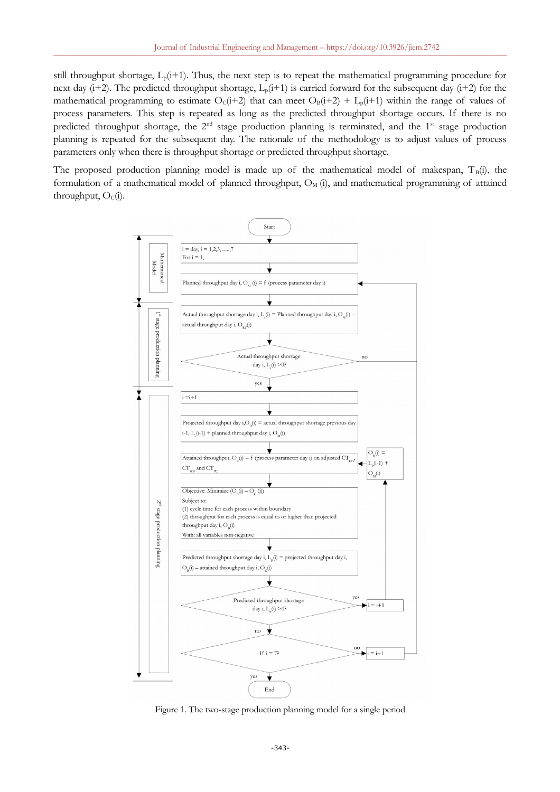still throughput shortage,  $L_p(i+1)$ . Thus, the next step is to repeat the mathematical programming procedure for next day (i+2). The predicted throughput shortage,  $L_p(i+1)$  is carried forward for the subsequent day (i+2) for the mathematical programming to estimate  $O_C(i+2)$  that can meet  $O_B(i+2) + L_p(i+1)$  within the range of values of process parameters. This step is repeated as long as the predicted throughput shortage occurs. If there is no predicted throughput shortage, the 2<sup>nd</sup> stage production planning is terminated, and the 1<sup>st</sup> stage production planning is repeated for the subsequent day. The rationale of the methodology is to adjust values of process parameters only when there is throughput shortage or predicted throughput shortage.

The proposed production planning model is made up of the mathematical model of makespan,  $T_B(i)$ , the formulation of a mathematical model of planned throughput,  $O<sub>M</sub>$  (i), and mathematical programming of attained throughput,  $O_C(i)$ .



Figure 1. The two-stage production planning model for a single period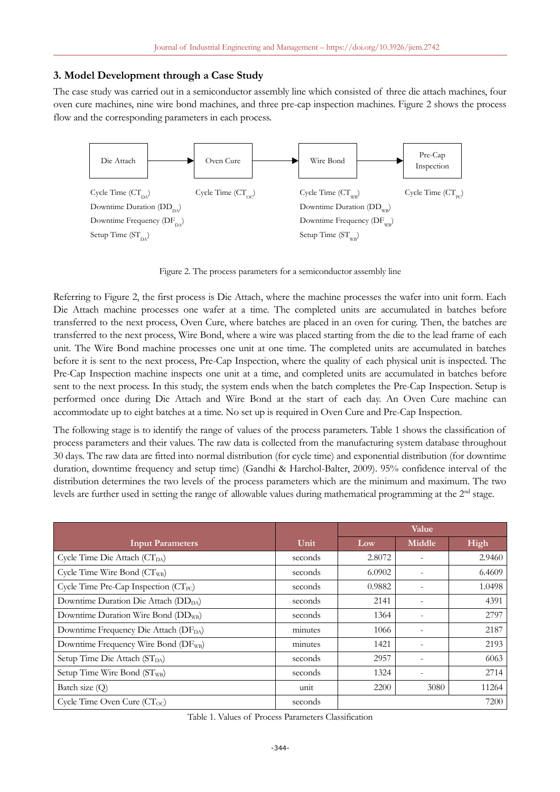# **3. Model Development through a Case Study**

The case study was carried out in a semiconductor assembly line which consisted of three die attach machines, four oven cure machines, nine wire bond machines, and three pre-cap inspection machines. Figure 2 shows the process flow and the corresponding parameters in each process.



Figure 2. The process parameters for a semiconductor assembly line

Referring to Figure 2, the first process is Die Attach, where the machine processes the wafer into unit form. Each Die Attach machine processes one wafer at a time. The completed units are accumulated in batches before transferred to the next process, Oven Cure, where batches are placed in an oven for curing. Then, the batches are transferred to the next process, Wire Bond, where a wire was placed starting from the die to the lead frame of each unit. The Wire Bond machine processes one unit at one time. The completed units are accumulated in batches before it is sent to the next process, Pre-Cap Inspection, where the quality of each physical unit is inspected. The Pre-Cap Inspection machine inspects one unit at a time, and completed units are accumulated in batches before sent to the next process. In this study, the system ends when the batch completes the Pre-Cap Inspection. Setup is performed once during Die Attach and Wire Bond at the start of each day. An Oven Cure machine can accommodate up to eight batches at a time. No set up is required in Oven Cure and Pre-Cap Inspection.

The following stage is to identify the range of values of the process parameters. Table 1 shows the classification of process parameters and their values. The raw data is collected from the manufacturing system database throughout 30 days. The raw data are fitted into normal distribution (for cycle time) and exponential distribution (for downtime duration, downtime frequency and setup time) (Gandhi & Harchol-Balter, 2009). 95% confidence interval of the distribution determines the two levels of the process parameters which are the minimum and maximum. The two levels are further used in setting the range of allowable values during mathematical programming at the 2<sup>nd</sup> stage.

|                                                   |         | Value  |                          |        |
|---------------------------------------------------|---------|--------|--------------------------|--------|
| <b>Input Parameters</b>                           | Unit    | Low    | Middle                   | High   |
| Cycle Time Die Attach ( $CTDA$ )                  | seconds | 2.8072 | $\overline{\phantom{a}}$ | 2.9460 |
| Cycle Time Wire Bond (CT <sub>WB</sub> )          | seconds | 6.0902 |                          | 6.4609 |
| Cycle Time Pre-Cap Inspection (CT <sub>PC</sub> ) | seconds | 0.9882 |                          | 1.0498 |
| Downtime Duration Die Attach (DD <sub>DA</sub> )  | seconds | 2141   | $\overline{\phantom{a}}$ | 4391   |
| Downtime Duration Wire Bond (DD <sub>WB</sub> )   | seconds | 1364   |                          | 2797   |
| Downtime Frequency Die Attach (DF <sub>DA</sub> ) | minutes | 1066   |                          | 2187   |
| Downtime Frequency Wire Bond (DF <sub>WB</sub> )  | minutes | 1421   |                          | 2193   |
| Setup Time Die Attach ( $STDA$ )                  | seconds | 2957   | $\overline{\phantom{a}}$ | 6063   |
| Setup Time Wire Bond (ST <sub>WB</sub> )          | seconds | 1324   |                          | 2714   |
| Batch size (Q)                                    | unit    | 2200   | 3080                     | 11264  |
| Cycle Time Oven Cure ( $CT_{OC}$ )                | seconds |        |                          | 7200   |

Table 1. Values of Process Parameters Classification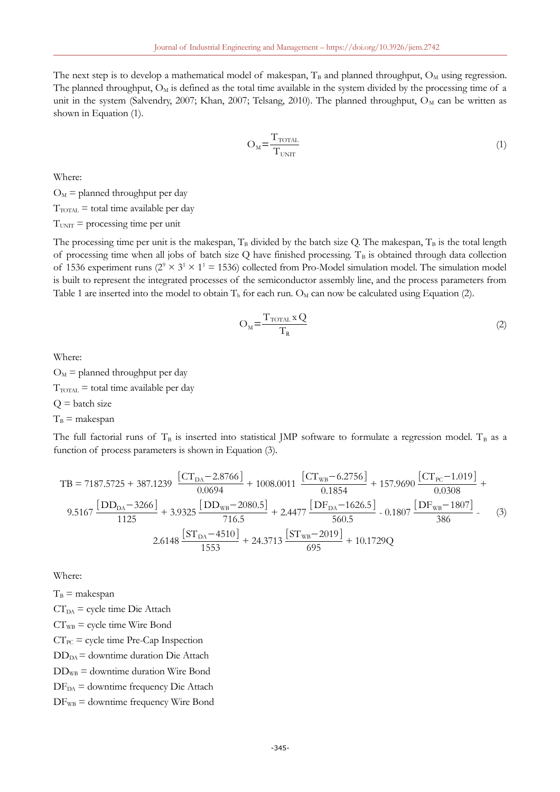The next step is to develop a mathematical model of makespan,  $T_B$  and planned throughput,  $O_M$  using regression. The planned throughput,  $O_M$  is defined as the total time available in the system divided by the processing time of a unit in the system (Salvendry, 2007; Khan, 2007; Telsang, 2010). The planned throughput,  $O<sub>M</sub>$  can be written as shown in Equation (1).

$$
O_M = \frac{T_{\text{TOTAL}}}{T_{\text{UNIT}}} \tag{1}
$$

Where:

 $O_M$  = planned throughput per day  $T_{\text{TOTAL}}$  = total time available per day  $T<sub>UNIT</sub> = processing time per unit$ 

The processing time per unit is the makespan,  $T_B$  divided by the batch size Q. The makespan,  $T_B$  is the total length of processing time when all jobs of batch size Q have finished processing.  $T_B$  is obtained through data collection of 1536 experiment runs  $(2^9 \times 3^1 \times 1^1 = 1536)$  collected from Pro-Model simulation model. The simulation model is built to represent the integrated processes of the semiconductor assembly line, and the process parameters from Table 1 are inserted into the model to obtain  $T_b$  for each run. O<sub>M</sub> can now be calculated using Equation (2).

$$
O_M = \frac{T_{\text{total}} \times Q}{T_R} \tag{2}
$$

Where:

 $O_M$  = planned throughput per day  $T_{\text{TOTAL}}$  = total time available per day  $Q =$  batch size  $T_B$  = makespan

The full factorial runs of  $T_B$  is inserted into statistical JMP software to formulate a regression model.  $T_B$  as a function of process parameters is shown in Equation (3).

$$
TB = 7187.5725 + 387.1239 \frac{[CT_{DA} - 2.8766]}{0.0694} + 1008.0011 \frac{[CT_{WB} - 6.2756]}{0.1854} + 157.9690 \frac{[CT_{pc} - 1.019]}{0.0308} + 9.5167 \frac{[DD_{DA} - 3266]}{1125} + 3.9325 \frac{[DD_{WB} - 2080.5]}{716.5} + 2.4477 \frac{[DF_{DA} - 1626.5]}{560.5} - 0.1807 \frac{[DF_{WB} - 1807]}{386} - 3.867 \frac{[DF_{WB} - 1807]}{386} - 0.1807 \frac{[DF_{WB} - 1807]}{386} - 0.1807 \frac{[DF_{WB} - 1807]}{386} - 0.1807 \frac{[DF_{WB} - 1807]}{386} - 0.1807 \frac{[DF_{WB} - 1807]}{386} - 0.1807 \frac{[DF_{WB} - 1807]}{386} - 0.1807 \frac{[DF_{WB} - 1807]}{386} - 0.1807 \frac{[DF_{WB} - 1807]}{386} - 0.1807 \frac{[DF_{WB} - 1807]}{386} - 0.1807 \frac{[DF_{WB} - 1807]}{386} - 0.1807 \frac{[DF_{WB} - 1807]}{386} - 0.1807 \frac{[DF_{WB} - 1807]}{386} - 0.1807 \frac{[DF_{WB} - 1807]}{386} - 0.1807 \frac{[DF_{WB} - 1807]}{386} - 0.1807 \frac{[DF_{WB} - 1807]}{386} - 0.1807 \frac{[DF_{WB} - 1807]}{386} - 0.1807 \frac{[DF_{WB} - 1807]}{386} - 0.1807 \frac{[DF_{WB} - 1807]}{386} - 0.1807 \frac{[DF_{WB} -
$$

Where:

 $T_B$  = makespan  $CT<sub>DA</sub>$  = cycle time Die Attach  $CT_{WB}$  = cycle time Wire Bond  $CT_{PC}$  = cycle time Pre-Cap Inspection  $DD<sub>DA</sub> =$  downtime duration Die Attach  $DD<sub>WB</sub> =$  downtime duration Wire Bond  $DF<sub>DA</sub> =$  downtime frequency Die Attach  $DF_{WB} =$  downtime frequency Wire Bond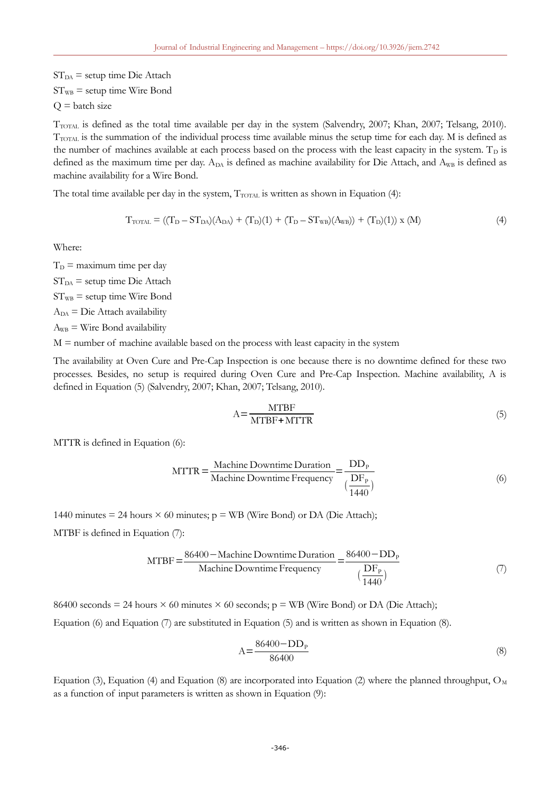$ST<sub>DA</sub>$  = setup time Die Attach  $ST_{WB}$  = setup time Wire Bond  $Q =$  batch size

TTOTAL is defined as the total time available per day in the system (Salvendry, 2007; Khan, 2007; Telsang, 2010). T<sub>TOTAL</sub> is the summation of the individual process time available minus the setup time for each day. M is defined as the number of machines available at each process based on the process with the least capacity in the system.  $T_D$  is defined as the maximum time per day.  $A_{DA}$  is defined as machine availability for Die Attach, and  $A_{WB}$  is defined as machine availability for a Wire Bond.

The total time available per day in the system,  $T_{\text{TOTAL}}$  is written as shown in Equation (4):

$$
T_{\text{TOTAL}} = ((T_{\text{D}} - ST_{\text{DA}})(A_{\text{DA}}) + (T_{\text{D}})(1) + (T_{\text{D}} - ST_{\text{WB}})(A_{\text{WB}})) + (T_{\text{D}})(1)) \times (M) \tag{4}
$$

Where:

 $T_D$  = maximum time per day  $ST<sub>DA</sub>$  = setup time Die Attach  $ST_{WB}$  = setup time Wire Bond  $A_{DA}$  = Die Attach availability

 $A_{WB}$  = Wire Bond availability

 $M =$  number of machine available based on the process with least capacity in the system

The availability at Oven Cure and Pre-Cap Inspection is one because there is no downtime defined for these two processes. Besides, no setup is required during Oven Cure and Pre-Cap Inspection. Machine availability, A is defined in Equation (5) (Salvendry, 2007; Khan, 2007; Telsang, 2010).

$$
A = \frac{MTBF}{MTBF + MTTR}
$$
 (5)

MTTR is defined in Equation (6):

$$
MTTR = \frac{Machine\,Downtime\,Duration}{Machine\, Frequency} = \frac{DD_{P}}{\left(\frac{DF_{P}}{1440}\right)}
$$
(6)

1440 minutes = 24 hours  $\times$  60 minutes; p = WB (Wire Bond) or DA (Die Attach);

MTBF is defined in Equation (7):

MTBF = 
$$
\frac{86400 - \text{Machine Downtime Duration}}{\text{Machine Downtime Frequency}} = \frac{86400 - \text{DD}_p}{\left(\frac{\text{DF}_p}{1440}\right)}
$$
 (7)

86400 seconds = 24 hours  $\times$  60 minutes  $\times$  60 seconds; p = WB (Wire Bond) or DA (Die Attach);

Equation (6) and Equation (7) are substituted in Equation (5) and is written as shown in Equation (8).

$$
A = \frac{86400 - DD_{P}}{86400}
$$
 (8)

Equation (3), Equation (4) and Equation (8) are incorporated into Equation (2) where the planned throughput,  $O_M$ as a function of input parameters is written as shown in Equation (9):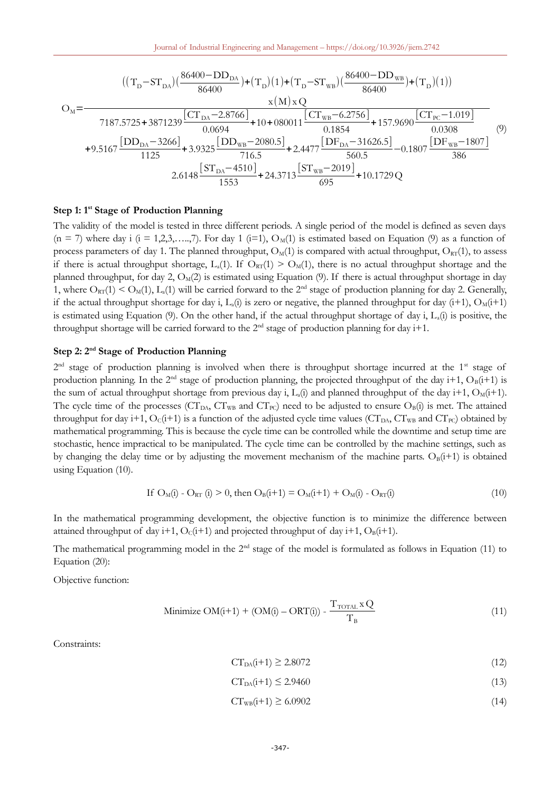$$
O_{M} = \frac{\left((T_{D}-ST_{DA})\left(\frac{86400-DD_{DA}}{86400}\right)+\left(T_{D}\right)\left(1\right)+\left(T_{D}-ST_{WB}\right)\left(\frac{86400-DD_{WB}}{86400}\right)+\left(T_{D}\right)\left(1\right)\right)}{7187.5725+3871239\frac{\left[CT_{DA}-2.8766\right]}{0.0694}+10+080011\frac{\left[CT_{WB}-6.2756\right]}{0.1854}+157.9690\frac{\left[CT_{pc}-1.019\right]}{0.0308}}}{1125} + 9.5167\frac{\left[DD_{DA}-3266\right]}{1125}+3.9325\frac{\left[DD_{WB}-2080.5\right]}{716.5}+2.4477\frac{\left[DF_{DA}-31626.5\right]}{560.5}-0.1807\frac{\left[DF_{WB}-1807\right]}{386}}{386}
$$

$$
2.6148\frac{\left[ST_{DA}-4510\right]}{1553}+24.3713\frac{\left[ST_{WB}-2019\right]}{695}+10.1729Q
$$

### **Step 1: 1st Stage of Production Planning**

The validity of the model is tested in three different periods. A single period of the model is defined as seven days  $(n = 7)$  where day i  $(i = 1,2,3,...,7)$ . For day 1  $(i=1)$ ,  $O<sub>M</sub>(1)$  is estimated based on Equation (9) as a function of process parameters of day 1. The planned throughput,  $O_M(1)$  is compared with actual throughput,  $O_{RT}(1)$ , to assess if there is actual throughput shortage, L<sub>a</sub>(1). If  $O_{RT}(1) > O_{M}(1)$ , there is no actual throughput shortage and the planned throughput, for day 2,  $O_M(2)$  is estimated using Equation (9). If there is actual throughput shortage in day 1, where  $O_{RT}(1) \leq O_M(1)$ ,  $L_a(1)$  will be carried forward to the 2<sup>nd</sup> stage of production planning for day 2. Generally, if the actual throughput shortage for day i,  $L_a(i)$  is zero or negative, the planned throughput for day (i+1),  $O_M(i+1)$ is estimated using Equation (9). On the other hand, if the actual throughput shortage of day i,  $L_a(i)$  is positive, the throughput shortage will be carried forward to the  $2<sup>nd</sup>$  stage of production planning for day i+1.

### **Step 2: 2nd Stage of Production Planning**

2<sup>nd</sup> stage of production planning is involved when there is throughput shortage incurred at the 1<sup>st</sup> stage of production planning. In the 2<sup>nd</sup> stage of production planning, the projected throughput of the day i+1,  $O_B(i+1)$  is the sum of actual throughput shortage from previous day i,  $L_a(i)$  and planned throughput of the day i+1,  $O_M(i+1)$ . The cycle time of the processes ( $CT_{DA}$ ,  $CT_{WB}$  and  $CT_{PC}$ ) need to be adjusted to ensure  $O_B(i)$  is met. The attained throughput for day i+1,  $O_c(i+1)$  is a function of the adjusted cycle time values ( $CT_{DA}$ ,  $CT_{WB}$  and  $CT_{PC}$ ) obtained by mathematical programming. This is because the cycle time can be controlled while the downtime and setup time are stochastic, hence impractical to be manipulated. The cycle time can be controlled by the machine settings, such as by changing the delay time or by adjusting the movement mechanism of the machine parts.  $O_B(i+1)$  is obtained using Equation (10).

If 
$$
O_M(i) - O_{RT}(i) > 0
$$
, then  $O_B(i+1) = O_M(i+1) + O_M(i) - O_{RT}(i)$  (10)

In the mathematical programming development, the objective function is to minimize the difference between attained throughput of day i+1,  $O_C(i+1)$  and projected throughput of day i+1,  $O_B(i+1)$ .

The mathematical programming model in the  $2<sup>nd</sup>$  stage of the model is formulated as follows in Equation (11) to Equation (20):

Objective function:

Minimize OM(i+1) + (OM(i) – ORT(i)) - 
$$
\frac{T_{\text{TOTAL}} \times Q}{T_B}
$$
 (11)

Constraints:

$$
CTDA(i+1) \ge 2.8072
$$
\n
$$
(12)
$$

$$
CTDA(i+1) \le 2.9460
$$
\n
$$
(13)
$$

$$
CT_{WB}(i+1) \ge 6.0902\tag{14}
$$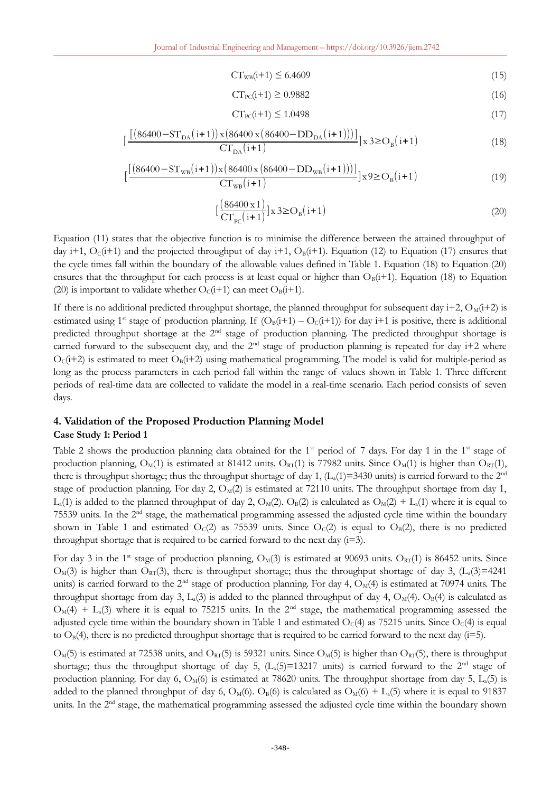$$
CT_{WB}(i+1) \le 6.4609\tag{15}
$$

$$
CT_{PC}(i+1) \ge 0.9882\tag{16}
$$

$$
CT_{PC}(i+1) \le 1.0498\tag{17}
$$

$$
\left[\frac{\left[\left(86400 - ST_{DA}(i+1)\right)x\left(86400 x\left(86400 - DD_{DA}(i+1)\right)\right)\right]}{CT_{DA}(i+1)}\right]x\,3 \geq O_B(i+1) \tag{18}
$$

$$
\left[\frac{[(86400 - ST_{\rm WB}(i+1)) \times (86400 \times (86400 - DD_{\rm WB}(i+1)))]}{CT_{\rm WB}(i+1)}\right] \times 9 \ge O_{\rm B}(i+1) \tag{19}
$$

$$
\left[\frac{(86400 \times 1)}{\mathrm{CT}_{\mathrm{PC}}(i+1)}\right] \times 3 \ge \mathrm{O}_{\mathrm{B}}(i+1) \tag{20}
$$

Equation (11) states that the objective function is to minimise the difference between the attained throughput of day i+1,  $O_C(i+1)$  and the projected throughput of day i+1,  $O_B(i+1)$ . Equation (12) to Equation (17) ensures that the cycle times fall within the boundary of the allowable values defined in Table 1. Equation (18) to Equation (20) ensures that the throughput for each process is at least equal or higher than  $O_B(i+1)$ . Equation (18) to Equation (20) is important to validate whether  $O_C(i+1)$  can meet  $O_B(i+1)$ .

If there is no additional predicted throughput shortage, the planned throughput for subsequent day i+2,  $O<sub>M</sub>(i+2)$  isestimated using 1<sup>st</sup> stage of production planning. If  $(O_B(i+1) - O_C(i+1))$  for day i+1 is positive, there is additional predicted throughput shortage at the 2<sup>nd</sup> stage of production planning. The predicted throughput shortage is carried forward to the subsequent day, and the  $2<sup>nd</sup>$  stage of production planning is repeated for day i+2 where  $O_c(i+2)$  is estimated to meet  $O_b(i+2)$  using mathematical programming. The model is valid for multiple-period as long as the process parameters in each period fall within the range of values shown in Table 1. Three different periods of real-time data are collected to validate the model in a real-time scenario. Each period consists of seven days.

# **4. Validation of the Proposed Production Planning Model**

#### **Case Study 1: Period 1**

Table 2 shows the production planning data obtained for the 1<sup>st</sup> period of 7 days. For day 1 in the 1<sup>st</sup> stage of production planning,  $O<sub>M</sub>(1)$  is estimated at 81412 units.  $O<sub>RT</sub>(1)$  is 77982 units. Since  $O<sub>M</sub>(1)$  is higher than  $O<sub>RT</sub>(1)$ , there is throughput shortage; thus the throughput shortage of day 1,  $(L_a(1)=3430$  units) is carried forward to the  $2^{nd}$ stage of production planning. For day 2,  $O_M(2)$  is estimated at 72110 units. The throughput shortage from day 1,  $L_a(1)$  is added to the planned throughput of day 2,  $O_M(2)$ .  $O_B(2)$  is calculated as  $O_M(2) + L_a(1)$  where it is equal to 75539 units. In the  $2<sup>nd</sup>$  stage, the mathematical programming assessed the adjusted cycle time within the boundary shown in Table 1 and estimated  $O_c(2)$  as 75539 units. Since  $O_c(2)$  is equal to  $O_B(2)$ , there is no predicted throughput shortage that is required to be carried forward to the next day  $(i=3)$ .

For day 3 in the 1<sup>st</sup> stage of production planning,  $O_M(3)$  is estimated at 90693 units.  $O_{RT}(1)$  is 86452 units. Since  $O_M(3)$  is higher than  $O_{RT}(3)$ , there is throughput shortage; thus the throughput shortage of day 3,  $(L_a(3)=4241)$ units) is carried forward to the  $2<sup>nd</sup>$  stage of production planning. For day 4,  $O<sub>M</sub>(4)$  is estimated at 70974 units. The throughput shortage from day 3,  $L_a(3)$  is added to the planned throughput of day 4,  $O_M(4)$ .  $O_B(4)$  is calculated as  $O_M(4)$  + L<sub>a</sub>(3) where it is equal to 75215 units. In the 2<sup>nd</sup> stage, the mathematical programming assessed the adjusted cycle time within the boundary shown in Table 1 and estimated  $O_C(4)$  as 75215 units. Since  $O_C(4)$  is equal to  $O_B(4)$ , there is no predicted throughput shortage that is required to be carried forward to the next day ( $i=5$ ).

 $O_M(5)$  is estimated at 72538 units, and  $O_{RT}(5)$  is 59321 units. Since  $O_M(5)$  is higher than  $O_{RT}(5)$ , there is throughput shortage; thus the throughput shortage of day 5,  $(L_a(5)=13217$  units) is carried forward to the  $2^{nd}$  stage of production planning. For day 6,  $O<sub>M</sub>(6)$  is estimated at 78620 units. The throughput shortage from day 5,  $L<sub>a</sub>(5)$  is added to the planned throughput of day 6,  $O_M(6)$ .  $O_B(6)$  is calculated as  $O_M(6) + L_a(5)$  where it is equal to 91837 units. In the 2<sup>nd</sup> stage, the mathematical programming assessed the adjusted cycle time within the boundary shown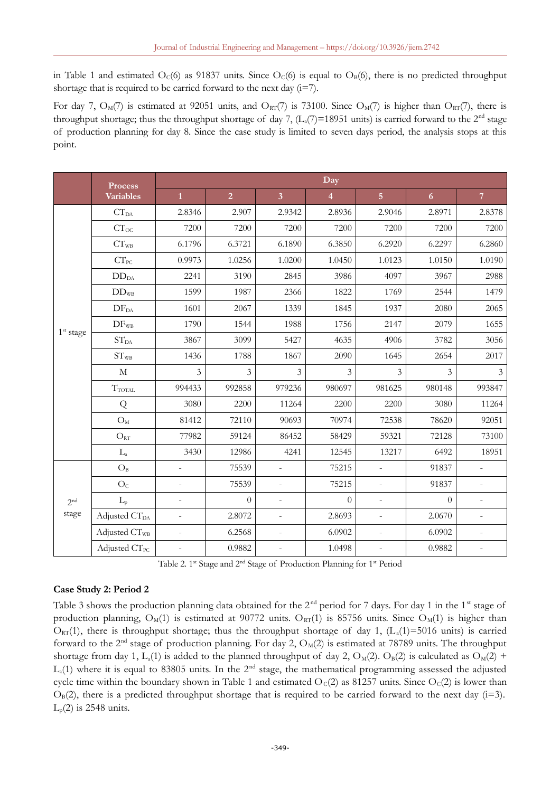in Table 1 and estimated  $O_c(6)$  as 91837 units. Since  $O_c(6)$  is equal to  $O_B(6)$ , there is no predicted throughput shortage that is required to be carried forward to the next day  $(i=7)$ .

For day 7,  $O_M(7)$  is estimated at 92051 units, and  $O_{\text{RT}}(7)$  is 73100. Since  $O_M(7)$  is higher than  $O_{\text{RT}}(7)$ , there is throughput shortage; thus the throughput shortage of day 7,  $(L_a(7)=18951$  units) is carried forward to the 2<sup>nd</sup> stage of production planning for day 8. Since the case study is limited to seven days period, the analysis stops at this point.

|                          | <b>Process</b>            | Day                      |                |                          |                |                          |                |                |
|--------------------------|---------------------------|--------------------------|----------------|--------------------------|----------------|--------------------------|----------------|----------------|
|                          | Variables                 | $\overline{1}$           | $\overline{2}$ | $\overline{\mathbf{3}}$  | $\overline{4}$ | $\overline{5}$           | $\overline{6}$ | $\overline{7}$ |
|                          | $CT_{DA}$                 | 2.8346                   | 2.907          | 2.9342                   | 2.8936         | 2.9046                   | 2.8971         | 2.8378         |
|                          | $CT_{OC}$                 | 7200                     | 7200           | 7200                     | 7200           | 7200                     | 7200           | 7200           |
|                          | $CT_{WB}$                 | 6.1796                   | 6.3721         | 6.1890                   | 6.3850         | 6.2920                   | 6.2297         | 6.2860         |
|                          | $CT_{PC}$                 | 0.9973                   | 1.0256         | 1.0200                   | 1.0450         | 1.0123                   | 1.0150         | 1.0190         |
|                          | $DD_{DA}$                 | 2241                     | 3190           | 2845                     | 3986           | 4097                     | 3967           | 2988           |
|                          | $DD$ <sub>WB</sub>        | 1599                     | 1987           | 2366                     | 1822           | 1769                     | 2544           | 1479           |
|                          | $\rm DF_{DA}$             | 1601                     | 2067           | 1339                     | 1845           | 1937                     | 2080           | 2065           |
|                          | $DF_{WB}$                 | 1790                     | 1544           | 1988                     | 1756           | 2147                     | 2079           | 1655           |
| 1 <sup>st</sup> stage    | $ST_{DA}$                 | 3867                     | 3099           | 5427                     | 4635           | 4906                     | 3782           | 3056           |
|                          | $ST_{\rm WB}$             | 1436                     | 1788           | 1867                     | 2090           | 1645                     | 2654           | 2017           |
|                          | $\mathbf M$               | $\overline{3}$           | 3              | $\mathfrak{Z}$           | 3              | 3                        | 3              | 3              |
|                          | $T_{\text{TOTAL}}$        | 994433                   | 992858         | 979236                   | 980697         | 981625                   | 980148         | 993847         |
|                          | Q                         | 3080                     | 2200           | 11264                    | 2200           | 2200                     | 3080           | 11264          |
|                          | $O_M$                     | 81412                    | 72110          | 90693                    | 70974          | 72538                    | 78620          | 92051          |
|                          | $O_{RT}$                  | 77982                    | 59124          | 86452                    | 58429          | 59321                    | 72128          | 73100          |
|                          | $L_{\rm a}$               | 3430                     | 12986          | 4241                     | 12545          | 13217                    | 6492           | 18951          |
| 2 <sub>nd</sub><br>stage | $\mathrm{O}_\mathrm{B}$   | $\overline{\phantom{a}}$ | 75539          | $\frac{1}{2}$            | 75215          | $\overline{\phantom{a}}$ | 91837          | $\blacksquare$ |
|                          | $\mathcal{O}_\text{C}$    |                          | 75539          | $\overline{\phantom{a}}$ | 75215          | $\overline{\phantom{a}}$ | 91837          |                |
|                          | $L_{p}$                   | $\blacksquare$           | $\overline{0}$ | $\blacksquare$           | $\Omega$       | $\overline{\phantom{a}}$ | $\theta$       | ÷,             |
|                          | Adjusted CT <sub>DA</sub> | $\bar{a}$                | 2.8072         | $\frac{1}{2}$            | 2.8693         | $\frac{1}{2}$            | 2.0670         | ÷,             |
|                          | Adjusted CT <sub>WB</sub> | $\bar{a}$                | 6.2568         | $\equiv$                 | 6.0902         | $\frac{1}{2}$            | 6.0902         | $\bar{a}$      |
|                          | Adjusted CT <sub>PC</sub> |                          | 0.9882         |                          | 1.0498         |                          | 0.9882         |                |

Table 2. 1<sup>st</sup> Stage and 2<sup>nd</sup> Stage of Production Planning for 1<sup>st</sup> Period

#### **Case Study 2: Period 2**

Table 3 shows the production planning data obtained for the 2<sup>nd</sup> period for 7 days. For day 1 in the 1<sup>st</sup> stage of production planning,  $O_M(1)$  is estimated at 90772 units.  $O_{RT}(1)$  is 85756 units. Since  $O_M(1)$  is higher than  $O_{\text{RT}}(1)$ , there is throughput shortage; thus the throughput shortage of day 1,  $(L_a(1)=5016$  units) is carried forward to the 2<sup>nd</sup> stage of production planning. For day 2,  $O<sub>M</sub>(2)$  is estimated at 78789 units. The throughput shortage from day 1, L<sub>a</sub>(1) is added to the planned throughput of day 2, O<sub>M</sub>(2). O<sub>B</sub>(2) is calculated as O<sub>M</sub>(2) +  $L_a(1)$  where it is equal to 83805 units. In the  $2<sup>nd</sup>$  stage, the mathematical programming assessed the adjusted cycle time within the boundary shown in Table 1 and estimated  $O_c(2)$  as 81257 units. Since  $O_c(2)$  is lower than  $O_B(2)$ , there is a predicted throughput shortage that is required to be carried forward to the next day (i=3).  $L_p(2)$  is 2548 units.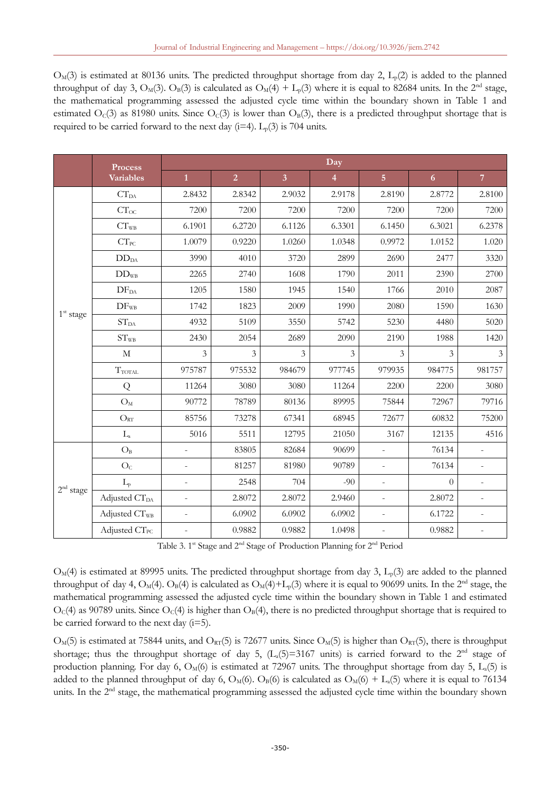$O<sub>M</sub>(3)$  is estimated at 80136 units. The predicted throughput shortage from day 2,  $L<sub>p</sub>(2)$  is added to the planned throughput of day 3,  $O_M(3)$ .  $O_B(3)$  is calculated as  $O_M(4) + L_p(3)$  where it is equal to 82684 units. In the 2<sup>nd</sup> stage, the mathematical programming assessed the adjusted cycle time within the boundary shown in Table 1 and estimated  $O_c(3)$  as 81980 units. Since  $O_c(3)$  is lower than  $O_B(3)$ , there is a predicted throughput shortage that is required to be carried forward to the next day  $(i=4)$ . L<sub>p</sub>(3) is 704 units.

|                       | <b>Process</b>            | Day                      |                |                         |                         |                          |                |                          |
|-----------------------|---------------------------|--------------------------|----------------|-------------------------|-------------------------|--------------------------|----------------|--------------------------|
|                       | <b>Variables</b>          | $\overline{1}$           | $\overline{2}$ | $\overline{\mathbf{3}}$ | $\overline{\mathbf{4}}$ | $\overline{5}$           | $\overline{6}$ | $\overline{7}$           |
|                       | $CT_{DA}$                 | 2.8432                   | 2.8342         | 2.9032                  | 2.9178                  | 2.8190                   | 2.8772         | 2.8100                   |
|                       | $CT_{OC}$                 | 7200                     | 7200           | 7200                    | 7200                    | 7200                     | 7200           | 7200                     |
|                       | $CT_{WB}$                 | 6.1901                   | 6.2720         | 6.1126                  | 6.3301                  | 6.1450                   | 6.3021         | 6.2378                   |
|                       | $CT_{PC}$                 | 1.0079                   | 0.9220         | 1.0260                  | 1.0348                  | 0.9972                   | 1.0152         | 1.020                    |
|                       | $DD_{\mathrm{DA}}$        | 3990                     | 4010           | 3720                    | 2899                    | 2690                     | 2477           | 3320                     |
|                       | DD <sub>WB</sub>          | 2265                     | 2740           | 1608                    | 1790                    | 2011                     | 2390           | 2700                     |
|                       | $DF_{DA}$                 | 1205                     | 1580           | 1945                    | 1540                    | 1766                     | 2010           | 2087                     |
|                       | $DF_{WB}$                 | 1742                     | 1823           | 2009                    | 1990                    | 2080                     | 1590           | 1630                     |
| 1 <sup>st</sup> stage | $ST_{DA}$                 | 4932                     | 5109           | 3550                    | 5742                    | 5230                     | 4480           | 5020                     |
|                       | $ST_{WB}$                 | 2430                     | 2054           | 2689                    | 2090                    | 2190                     | 1988           | 1420                     |
|                       | $\mathbf M$               | 3                        | 3              | 3                       | 3                       | 3                        | 3              | 3                        |
|                       | $T_{\rm TOTAL}$           | 975787                   | 975532         | 984679                  | 977745                  | 979935                   | 984775         | 981757                   |
|                       | Q                         | 11264                    | 3080           | 3080                    | 11264                   | 2200                     | 2200           | 3080                     |
|                       | $O_M$                     | 90772                    | 78789          | 80136                   | 89995                   | 75844                    | 72967          | 79716                    |
|                       | $O_{RT}$                  | 85756                    | 73278          | 67341                   | 68945                   | 72677                    | 60832          | 75200                    |
|                       | $L_{\rm a}$               | 5016                     | 5511           | 12795                   | 21050                   | 3167                     | 12135          | 4516                     |
| 2 <sup>nd</sup> stage | $O_B$                     |                          | 83805          | 82684                   | 90699                   | $\overline{\phantom{a}}$ | 76134          | $\overline{\phantom{a}}$ |
|                       | O <sub>C</sub>            |                          | 81257          | 81980                   | 90789                   | $\equiv$                 | 76134          | $\overline{\phantom{a}}$ |
|                       | $L_{p}$                   | $\overline{\phantom{a}}$ | 2548           | 704                     | $-90$                   | $\blacksquare$           | $\overline{0}$ | $\bar{a}$                |
|                       | Adjusted CT <sub>DA</sub> | $\overline{\phantom{a}}$ | 2.8072         | 2.8072                  | 2.9460                  | $\blacksquare$           | 2.8072         | $\overline{\phantom{a}}$ |
|                       | Adjusted CT <sub>WB</sub> | $\overline{\phantom{a}}$ | 6.0902         | 6.0902                  | 6.0902                  | $\bar{a}$                | 6.1722         |                          |
|                       | Adjusted CT <sub>PC</sub> |                          | 0.9882         | 0.9882                  | 1.0498                  |                          | 0.9882         |                          |

Table 3. 1st Stage and 2nd Stage of Production Planning for 2nd Period

 $O<sub>M</sub>(4)$  is estimated at 89995 units. The predicted throughput shortage from day 3,  $L<sub>p</sub>(3)$  are added to the planned throughput of day 4,  $O_M(4)$ .  $O_B(4)$  is calculated as  $O_M(4)+L_p(3)$  where it is equal to 90699 units. In the  $2^{nd}$  stage, the mathematical programming assessed the adjusted cycle time within the boundary shown in Table 1 and estimated  $O<sub>C</sub>(4)$  as 90789 units. Since  $O<sub>C</sub>(4)$  is higher than  $O<sub>B</sub>(4)$ , there is no predicted throughput shortage that is required to be carried forward to the next day  $(i=5)$ .

 $O_M(5)$  is estimated at 75844 units, and  $O_{RT}(5)$  is 72677 units. Since  $O_M(5)$  is higher than  $O_{RT}(5)$ , there is throughput shortage; thus the throughput shortage of day 5,  $(L_4(5)=3167$  units) is carried forward to the  $2<sup>nd</sup>$  stage of production planning. For day 6,  $O_M(6)$  is estimated at 72967 units. The throughput shortage from day 5,  $L_a(5)$  is added to the planned throughput of day 6,  $O_M(6)$ .  $O_B(6)$  is calculated as  $O_M(6) + L_a(5)$  where it is equal to 76134 units. In the 2<sup>nd</sup> stage, the mathematical programming assessed the adjusted cycle time within the boundary shown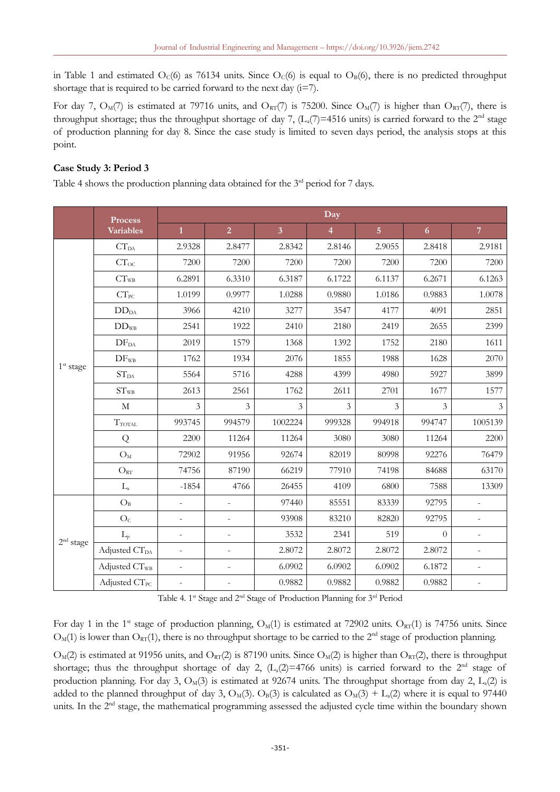in Table 1 and estimated  $O_c(6)$  as 76134 units. Since  $O_c(6)$  is equal to  $O_B(6)$ , there is no predicted throughput shortage that is required to be carried forward to the next day  $(i=7)$ .

For day 7,  $O_M(7)$  is estimated at 79716 units, and  $O_{\text{RT}}(7)$  is 75200. Since  $O_M(7)$  is higher than  $O_{\text{RT}}(7)$ , there is throughput shortage; thus the throughput shortage of day 7,  $(L_a(7)=4516$  units) is carried forward to the 2<sup>nd</sup> stage of production planning for day 8. Since the case study is limited to seven days period, the analysis stops at this point.

### **Case Study 3: Period 3**

Table 4 shows the production planning data obtained for the 3<sup>rd</sup> period for 7 days.

|                       | <b>Process</b>            | Day                      |                          |                         |                |                |                |                |
|-----------------------|---------------------------|--------------------------|--------------------------|-------------------------|----------------|----------------|----------------|----------------|
|                       | <b>Variables</b>          | $\mathbf{1}$             | $\overline{2}$           | $\overline{\mathbf{3}}$ | $\overline{4}$ | $\overline{5}$ | $\overline{6}$ | $\overline{7}$ |
|                       | $CT_{DA}$                 | 2.9328                   | 2.8477                   | 2.8342                  | 2.8146         | 2.9055         | 2.8418         | 2.9181         |
|                       | $CT_{OC}$                 | 7200                     | 7200                     | 7200                    | 7200           | 7200           | 7200           | 7200           |
|                       | $CT_{WB}$                 | 6.2891                   | 6.3310                   | 6.3187                  | 6.1722         | 6.1137         | 6.2671         | 6.1263         |
|                       | $CT_{PC}$                 | 1.0199                   | 0.9977                   | 1.0288                  | 0.9880         | 1.0186         | 0.9883         | 1.0078         |
|                       | $DD_{DA}$                 | 3966                     | 4210                     | 3277                    | 3547           | 4177           | 4091           | 2851           |
|                       | DD <sub>WB</sub>          | 2541                     | 1922                     | 2410                    | 2180           | 2419           | 2655           | 2399           |
|                       | $DF_{DA}$                 | 2019                     | 1579                     | 1368                    | 1392           | 1752           | 2180           | 1611           |
|                       | $\rm DF_{\rm WB}$         | 1762                     | 1934                     | 2076                    | 1855           | 1988           | 1628           | 2070           |
| 1 <sup>st</sup> stage | $ST_{\mathrm{DA}}$        | 5564                     | 5716                     | 4288                    | 4399           | 4980           | 5927           | 3899           |
|                       | $ST_{WB}$                 | 2613                     | 2561                     | 1762                    | 2611           | 2701           | 1677           | 1577           |
|                       | $\mathbf M$               | 3                        | 3                        | 3                       | 3              | 3              | 3              | $\mathfrak{Z}$ |
|                       | $T_{\text{TOTAL}}$        | 993745                   | 994579                   | 1002224                 | 999328         | 994918         | 994747         | 1005139        |
|                       | Q                         | 2200                     | 11264                    | 11264                   | 3080           | 3080           | 11264          | 2200           |
|                       | $\mathrm{O}_\mathrm{M}$   | 72902                    | 91956                    | 92674                   | 82019          | 80998          | 92276          | 76479          |
|                       | $O_{RT}$                  | 74756                    | 87190                    | 66219                   | 77910          | 74198          | 84688          | 63170          |
|                       | $L_{\rm a}$               | $-1854$                  | 4766                     | 26455                   | 4109           | 6800           | 7588           | 13309          |
|                       | $O_{B}$                   | ÷,                       | $\frac{1}{2}$            | 97440                   | 85551          | 83339          | 92795          | ÷,             |
| 2 <sup>nd</sup> stage | O <sub>C</sub>            | $\bar{a}$                | $\overline{\phantom{a}}$ | 93908                   | 83210          | 82820          | 92795          | $\equiv$       |
|                       | $L_{p}$                   | L,                       | $\frac{1}{2}$            | 3532                    | 2341           | 519            | $\theta$       | $\blacksquare$ |
|                       | Adjusted CT <sub>DA</sub> | ä,                       |                          | 2.8072                  | 2.8072         | 2.8072         | 2.8072         |                |
|                       | Adjusted CT <sub>WB</sub> | $\overline{\phantom{0}}$ | $\blacksquare$           | 6.0902                  | 6.0902         | 6.0902         | 6.1872         |                |
|                       | Adjusted CT <sub>PC</sub> | ÷,                       |                          | 0.9882                  | 0.9882         | 0.9882         | 0.9882         |                |

Table 4. 1<sup>st</sup> Stage and 2<sup>nd</sup> Stage of Production Planning for 3<sup>rd</sup> Period

For day 1 in the 1<sup>st</sup> stage of production planning,  $O_M(1)$  is estimated at 72902 units.  $O_{\text{RT}}(1)$  is 74756 units. Since  $O<sub>M</sub>(1)$  is lower than  $O<sub>RT</sub>(1)$ , there is no throughput shortage to be carried to the  $2<sup>nd</sup>$  stage of production planning.

 $O_M(2)$  is estimated at 91956 units, and  $O_{RT}(2)$  is 87190 units. Since  $O_M(2)$  is higher than  $O_{RT}(2)$ , there is throughput shortage; thus the throughput shortage of day 2,  $(L_a(2)=4766$  units) is carried forward to the  $2^{nd}$  stage of production planning. For day 3,  $O_M(3)$  is estimated at 92674 units. The throughput shortage from day 2,  $L_a(2)$  is added to the planned throughput of day 3,  $O_M(3)$ .  $O_B(3)$  is calculated as  $O_M(3) + L_a(2)$  where it is equal to 97440 units. In the 2<sup>nd</sup> stage, the mathematical programming assessed the adjusted cycle time within the boundary shown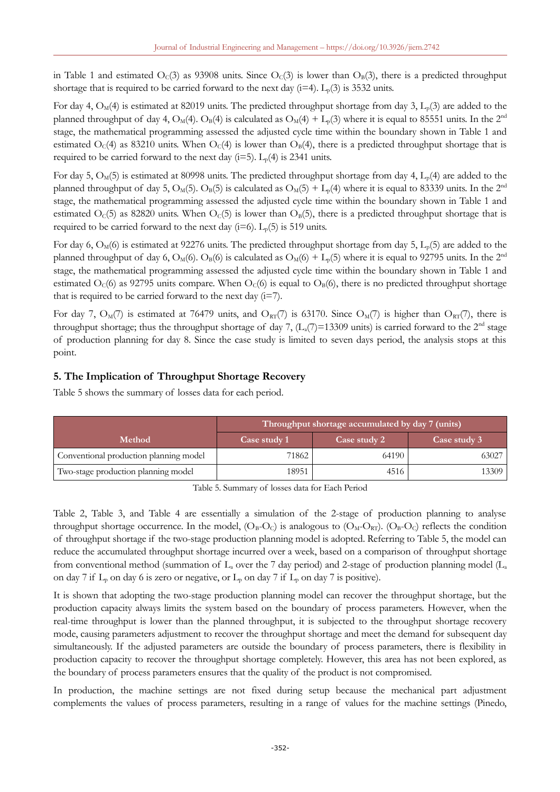in Table 1 and estimated  $O_c(3)$  as 93908 units. Since  $O_c(3)$  is lower than  $O_b(3)$ , there is a predicted throughput shortage that is required to be carried forward to the next day  $(i=4)$ .  $L_p(3)$  is 3532 units.

For day 4,  $O_M(4)$  is estimated at 82019 units. The predicted throughput shortage from day 3,  $L_p(3)$  are added to the planned throughput of day 4, O<sub>M</sub>(4). O<sub>B</sub>(4) is calculated as O<sub>M</sub>(4) + L<sub>p</sub>(3) where it is equal to 85551 units. In the 2<sup>nd</sup> stage, the mathematical programming assessed the adjusted cycle time within the boundary shown in Table 1 and estimated  $O_c(4)$  as 83210 units. When  $O_c(4)$  is lower than  $O_B(4)$ , there is a predicted throughput shortage that is required to be carried forward to the next day  $(i=5)$ . L<sub>p</sub>(4) is 2341 units.

For day 5,  $O_M(5)$  is estimated at 80998 units. The predicted throughput shortage from day 4,  $L_p(4)$  are added to the planned throughput of day 5,  $O_M(5)$ .  $O_B(5)$  is calculated as  $O_M(5) + L_0(4)$  where it is equal to 83339 units. In the 2<sup>nd</sup> stage, the mathematical programming assessed the adjusted cycle time within the boundary shown in Table 1 and estimated  $O_c(5)$  as 82820 units. When  $O_c(5)$  is lower than  $O_B(5)$ , there is a predicted throughput shortage that is required to be carried forward to the next day  $(i=6)$ . L<sub>p</sub>(5) is 519 units.

For day 6,  $O<sub>M</sub>(6)$  is estimated at 92276 units. The predicted throughput shortage from day 5,  $L<sub>p</sub>(5)$  are added to the planned throughput of day 6,  $O_M(6)$ .  $O_B(6)$  is calculated as  $O_M(6) + L_0(5)$  where it is equal to 92795 units. In the 2<sup>nd</sup> stage, the mathematical programming assessed the adjusted cycle time within the boundary shown in Table 1 and estimated  $O<sub>C</sub>(6)$  as 92795 units compare. When  $O<sub>C</sub>(6)$  is equal to  $O<sub>B</sub>(6)$ , there is no predicted throughput shortage that is required to be carried forward to the next day  $(i=7)$ .

For day 7,  $O_M(7)$  is estimated at 76479 units, and  $O_{\text{RT}}(7)$  is 63170. Since  $O_M(7)$  is higher than  $O_{\text{RT}}(7)$ , there is throughput shortage; thus the throughput shortage of day 7,  $(L_a(7)=13309)$  units) is carried forward to the 2<sup>nd</sup> stage of production planning for day 8. Since the case study is limited to seven days period, the analysis stops at this point.

# **5. The Implication of Throughput Shortage Recovery**

Table 5 shows the summary of losses data for each period.

|                                        | Throughput shortage accumulated by day 7 (units) |              |              |  |  |  |
|----------------------------------------|--------------------------------------------------|--------------|--------------|--|--|--|
| <b>Method</b>                          | Case study 1                                     | Case study 2 | Case study 3 |  |  |  |
| Conventional production planning model | 71862                                            | 64190        | 63027        |  |  |  |
| Two-stage production planning model    | 18951                                            | 4516         | 13309        |  |  |  |

Table 5. Summary of losses data for Each Period

Table 2, Table 3, and Table 4 are essentially a simulation of the 2-stage of production planning to analyse throughput shortage occurrence. In the model,  $(O_B-O_C)$  is analogous to  $(O_M-O_{RT})$ .  $(O_B-O_C)$  reflects the condition of throughput shortage if the two-stage production planning model is adopted. Referring to Table 5, the model can reduce the accumulated throughput shortage incurred over a week, based on a comparison of throughput shortage from conventional method (summation of  $L_a$  over the 7 day period) and 2-stage of production planning model  $(L_a)$ on day 7 if  $L_p$  on day 6 is zero or negative, or  $L_p$  on day 7 if  $L_p$  on day 7 is positive).

It is shown that adopting the two-stage production planning model can recover the throughput shortage, but the production capacity always limits the system based on the boundary of process parameters. However, when the real-time throughput is lower than the planned throughput, it is subjected to the throughput shortage recovery mode, causing parameters adjustment to recover the throughput shortage and meet the demand for subsequent day simultaneously. If the adjusted parameters are outside the boundary of process parameters, there is flexibility in production capacity to recover the throughput shortage completely. However, this area has not been explored, as the boundary of process parameters ensures that the quality of the product is not compromised.

In production, the machine settings are not fixed during setup because the mechanical part adjustment complements the values of process parameters, resulting in a range of values for the machine settings (Pinedo,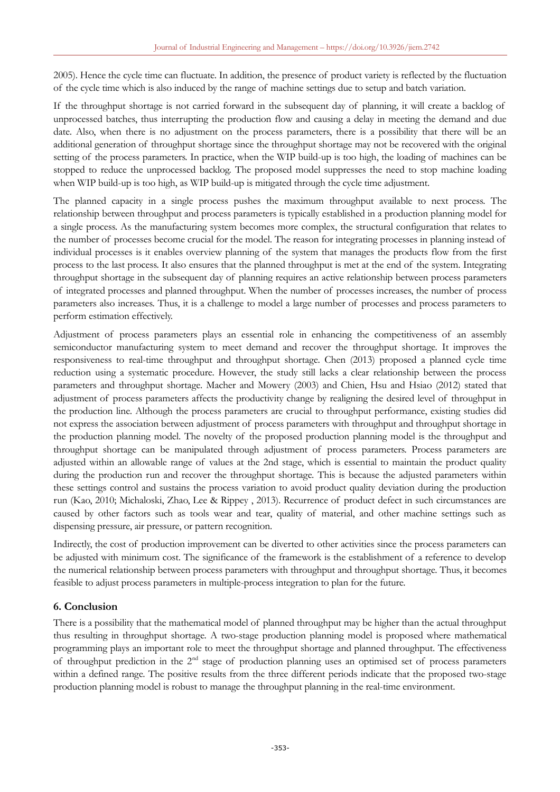2005). Hence the cycle time can fluctuate. In addition, the presence of product variety is reflected by the fluctuation of the cycle time which is also induced by the range of machine settings due to setup and batch variation.

If the throughput shortage is not carried forward in the subsequent day of planning, it will create a backlog of unprocessed batches, thus interrupting the production flow and causing a delay in meeting the demand and due date. Also, when there is no adjustment on the process parameters, there is a possibility that there will be an additional generation of throughput shortage since the throughput shortage may not be recovered with the original setting of the process parameters. In practice, when the WIP build-up is too high, the loading of machines can be stopped to reduce the unprocessed backlog. The proposed model suppresses the need to stop machine loading when WIP build-up is too high, as WIP build-up is mitigated through the cycle time adjustment.

The planned capacity in a single process pushes the maximum throughput available to next process. The relationship between throughput and process parameters is typically established in a production planning model for a single process. As the manufacturing system becomes more complex, the structural configuration that relates to the number of processes become crucial for the model. The reason for integrating processes in planning instead of individual processes is it enables overview planning of the system that manages the products flow from the first process to the last process. It also ensures that the planned throughput is met at the end of the system. Integrating throughput shortage in the subsequent day of planning requires an active relationship between process parameters of integrated processes and planned throughput. When the number of processes increases, the number of process parameters also increases. Thus, it is a challenge to model a large number of processes and process parameters to perform estimation effectively.

Adjustment of process parameters plays an essential role in enhancing the competitiveness of an assembly semiconductor manufacturing system to meet demand and recover the throughput shortage. It improves the responsiveness to real-time throughput and throughput shortage. Chen (2013) proposed a planned cycle time reduction using a systematic procedure. However, the study still lacks a clear relationship between the process parameters and throughput shortage. Macher and Mowery (2003) and Chien, Hsu and Hsiao (2012) stated that adjustment of process parameters affects the productivity change by realigning the desired level of throughput in the production line. Although the process parameters are crucial to throughput performance, existing studies did not express the association between adjustment of process parameters with throughput and throughput shortage in the production planning model. The novelty of the proposed production planning model is the throughput and throughput shortage can be manipulated through adjustment of process parameters. Process parameters are adjusted within an allowable range of values at the 2nd stage, which is essential to maintain the product quality during the production run and recover the throughput shortage. This is because the adjusted parameters within these settings control and sustains the process variation to avoid product quality deviation during the production run (Kao, 2010; Michaloski, Zhao, Lee & Rippey , 2013). Recurrence of product defect in such circumstances are caused by other factors such as tools wear and tear, quality of material, and other machine settings such as dispensing pressure, air pressure, or pattern recognition.

Indirectly, the cost of production improvement can be diverted to other activities since the process parameters can be adjusted with minimum cost. The significance of the framework is the establishment of a reference to develop the numerical relationship between process parameters with throughput and throughput shortage. Thus, it becomes feasible to adjust process parameters in multiple-process integration to plan for the future.

# **6. Conclusion**

There is a possibility that the mathematical model of planned throughput may be higher than the actual throughput thus resulting in throughput shortage. A two-stage production planning model is proposed where mathematical programming plays an important role to meet the throughput shortage and planned throughput. The effectiveness of throughput prediction in the 2nd stage of production planning uses an optimised set of process parameters within a defined range. The positive results from the three different periods indicate that the proposed two-stage production planning model is robust to manage the throughput planning in the real-time environment.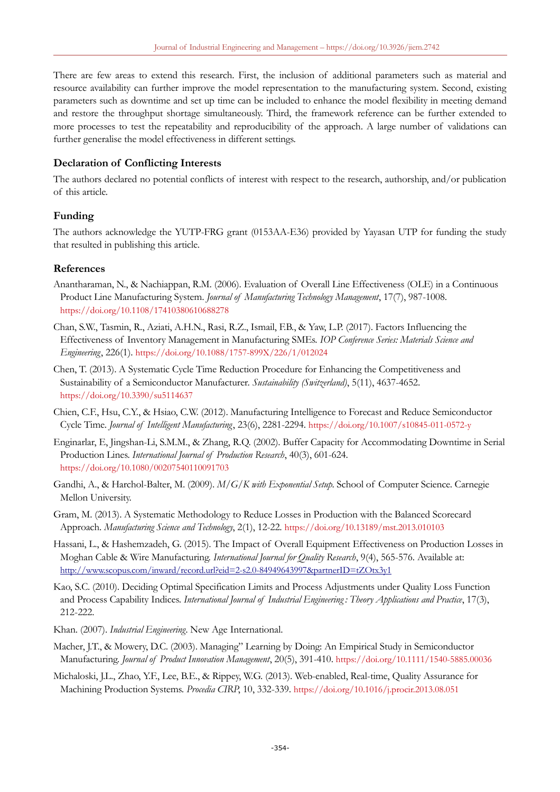There are few areas to extend this research. First, the inclusion of additional parameters such as material and resource availability can further improve the model representation to the manufacturing system. Second, existing parameters such as downtime and set up time can be included to enhance the model flexibility in meeting demand and restore the throughput shortage simultaneously. Third, the framework reference can be further extended to more processes to test the repeatability and reproducibility of the approach. A large number of validations can further generalise the model effectiveness in different settings.

## **Declaration of Conflicting Interests**

The authors declared no potential conflicts of interest with respect to the research, authorship, and/or publication of this article.

### **Funding**

The authors acknowledge the YUTP-FRG grant (0153AA-E36) provided by Yayasan UTP for funding the study that resulted in publishing this article.

#### **References**

- Anantharaman, N., & Nachiappan, R.M. (2006). Evaluation of Overall Line Effectiveness (OLE) in a Continuous Product Line Manufacturing System. *Journal of Manufacturing Technology Management*, 17(7), 987-1008. <https://doi.org/10.1108/17410380610688278>
- Chan, S.W., Tasmin, R., Aziati, A.H.N., Rasi, R.Z., Ismail, F.B., & Yaw, L.P. (2017). Factors Influencing the Effectiveness of Inventory Management in Manufacturing SMEs. *IOP Conference Series: Materials Science and Engineering*, 226(1). <https://doi.org/10.1088/1757-899X/226/1/012024>
- Chen, T. (2013). A Systematic Cycle Time Reduction Procedure for Enhancing the Competitiveness and Sustainability of a Semiconductor Manufacturer. *Sustainability (Switzerland)*, 5(11), 4637-4652. <https://doi.org/10.3390/su5114637>
- Chien, C.F., Hsu, C.Y., & Hsiao, C.W. (2012). Manufacturing Intelligence to Forecast and Reduce Semiconductor Cycle Time. *Journal of Intelligent Manufacturing*, 23(6), 2281-2294. <https://doi.org/10.1007/s10845-011-0572-y>
- Enginarlar, E, Jingshan-Li, S.M.M., & Zhang, R.Q. (2002). Buffer Capacity for Accommodating Downtime in Serial Production Lines. *International Journal of Production Research*, 40(3), 601-624. <https://doi.org/10.1080/00207540110091703>
- Gandhi, A., & Harchol-Balter, M. (2009). *M/G/K with Exponential Setup*. School of Computer Science. Carnegie Mellon University.
- Gram, M. (2013). A Systematic Methodology to Reduce Losses in Production with the Balanced Scorecard Approach. *Manufacturing Science and Technology*, 2(1), 12-22. <https://doi.org/10.13189/mst.2013.010103>
- Hassani, L., & Hashemzadeh, G. (2015). The Impact of Overall Equipment Effectiveness on Production Losses in Moghan Cable & Wire Manufacturing. *International Journal for Quality Research*, 9(4), 565-576. Available at: <http://www.scopus.com/inward/record.url?eid=2-s2.0-84949643997&partnerID=tZOtx3y1>
- Kao, S.C. (2010). Deciding Optimal Specification Limits and Process Adjustments under Quality Loss Function and Process Capability Indices. *International Journal of Industrial Engineering : Theory Applications and Practice*, 17(3), 212-222.
- Khan. (2007). *Industrial Engineering*. New Age International.
- Macher, J.T., & Mowery, D.C. (2003). Managing" Learning by Doing: An Empirical Study in Semiconductor Manufacturing. *Journal of Product Innovation Management*, 20(5), 391-410. <https://doi.org/10.1111/1540-5885.00036>
- Michaloski, J.L., Zhao, Y.F., Lee, B.E., & Rippey, W.G. (2013). Web-enabled, Real-time, Quality Assurance for Machining Production Systems. *Procedia CIRP*, 10, 332-339. <https://doi.org/10.1016/j.procir.2013.08.051>